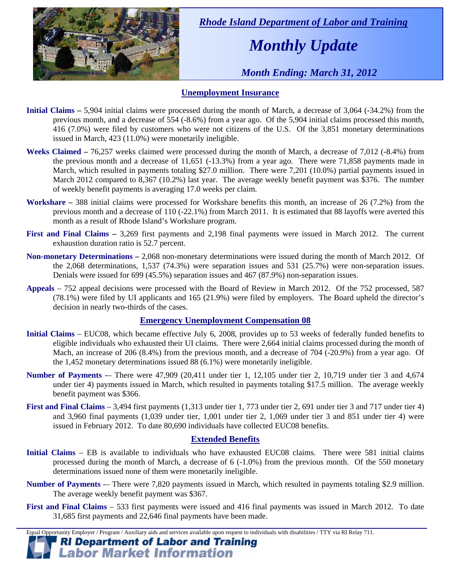

 *Rhode Island Department of Labor and Training* 

# *Monthly Update*

 *Month Ending: March 31, 2012* 

### **Unemployment Insurance**

- **Initial Claims** 5,904 initial claims were processed during the month of March, a decrease of 3,064 (-34.2%) from the previous month, and a decrease of 554 (-8.6%) from a year ago. Of the 5,904 initial claims processed this month, 416 (7.0%) were filed by customers who were not citizens of the U.S. Of the 3,851 monetary determinations issued in March, 423 (11.0%) were monetarily ineligible.
- **Weeks Claimed** 76,257 weeks claimed were processed during the month of March, a decrease of 7,012 (-8.4%) from the previous month and a decrease of 11,651 (-13.3%) from a year ago. There were 71,858 payments made in March, which resulted in payments totaling \$27.0 million. There were 7,201 (10.0%) partial payments issued in March 2012 compared to 8,367 (10.2%) last year. The average weekly benefit payment was \$376. The number of weekly benefit payments is averaging 17.0 weeks per claim.
- **Workshare –** 388 initial claims were processed for Workshare benefits this month, an increase of 26 (7.2%) from the previous month and a decrease of 110 (-22.1%) from March 2011. It is estimated that 88 layoffs were averted this month as a result of Rhode Island's Workshare program.
- **First and Final Claims –** 3,269 first payments and 2,198 final payments were issued in March 2012. The current exhaustion duration ratio is 52.7 percent.
- **Non-monetary Determinations –** 2,068 non-monetary determinations were issued during the month of March 2012. Of the 2,068 determinations, 1,537 (74.3%) were separation issues and 531 (25.7%) were non-separation issues. Denials were issued for 699 (45.5%) separation issues and 467 (87.9%) non-separation issues.
- **Appeals** 752 appeal decisions were processed with the Board of Review in March 2012. Of the 752 processed, 587 (78.1%) were filed by UI applicants and 165 (21.9%) were filed by employers. The Board upheld the director's decision in nearly two-thirds of the cases.

### **Emergency Unemployment Compensation 08**

- **Initial Claims**  EUC08, which became effective July 6, 2008, provides up to 53 weeks of federally funded benefits to eligible individuals who exhausted their UI claims. There were 2,664 initial claims processed during the month of Mach, an increase of 206 (8.4%) from the previous month, and a decrease of 704 (-20.9%) from a year ago. Of the 1,452 monetary determinations issued  $88 (6.1\%)$  were monetarily ineligible.
- **Number of Payments** -– There were 47,909 (20,411 under tier 1, 12,105 under tier 2, 10,719 under tier 3 and 4,674 under tier 4) payments issued in March, which resulted in payments totaling \$17.5 million. The average weekly benefit payment was \$366.
- **First and Final Claims**  3,494 first payments (1,313 under tier 1, 773 under tier 2, 691 under tier 3 and 717 under tier 4) and 3,960 final payments (1,039 under tier, 1,001 under tier 2, 1,069 under tier 3 and 851 under tier 4) were issued in February 2012. To date 80,690 individuals have collected EUC08 benefits.

### **Extended Benefits**

- **Initial Claims**  EB is available to individuals who have exhausted EUC08 claims. There were 581 initial claims processed during the month of March, a decrease of 6 (-1.0%) from the previous month. Of the 550 monetary determinations issued none of them were monetarily ineligible.
- **Number of Payments** -– There were 7,820 payments issued in March, which resulted in payments totaling \$2.9 million. The average weekly benefit payment was \$367.
- **First and Final Claims**  533 first payments were issued and 416 final payments was issued in March 2012. To date 31,685 first payments and 22,646 final payments have been made.

Equal Opportunity Employer / Program / Auxiliary aids and services available upon request to individuals with disabilities / TTY via RI Relay 711.

**RI Department of Labor and Training Labor Market Information**